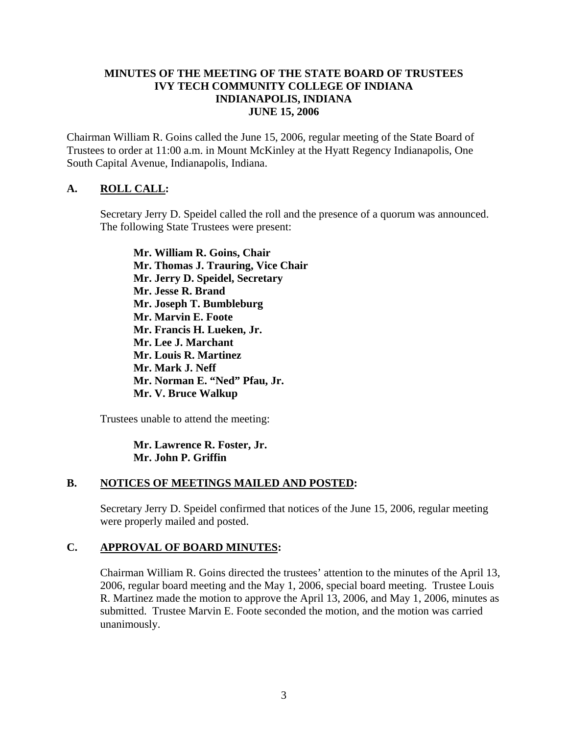### **MINUTES OF THE MEETING OF THE STATE BOARD OF TRUSTEES IVY TECH COMMUNITY COLLEGE OF INDIANA INDIANAPOLIS, INDIANA JUNE 15, 2006**

Chairman William R. Goins called the June 15, 2006, regular meeting of the State Board of Trustees to order at 11:00 a.m. in Mount McKinley at the Hyatt Regency Indianapolis, One South Capital Avenue, Indianapolis, Indiana.

## **A. ROLL CALL:**

Secretary Jerry D. Speidel called the roll and the presence of a quorum was announced. The following State Trustees were present:

**Mr. William R. Goins, Chair Mr. Thomas J. Trauring, Vice Chair Mr. Jerry D. Speidel, Secretary Mr. Jesse R. Brand Mr. Joseph T. Bumbleburg Mr. Marvin E. Foote Mr. Francis H. Lueken, Jr. Mr. Lee J. Marchant Mr. Louis R. Martinez Mr. Mark J. Neff Mr. Norman E. "Ned" Pfau, Jr. Mr. V. Bruce Walkup** 

Trustees unable to attend the meeting:

**Mr. Lawrence R. Foster, Jr. Mr. John P. Griffin** 

#### **B. NOTICES OF MEETINGS MAILED AND POSTED:**

Secretary Jerry D. Speidel confirmed that notices of the June 15, 2006, regular meeting were properly mailed and posted.

#### **C. APPROVAL OF BOARD MINUTES:**

Chairman William R. Goins directed the trustees' attention to the minutes of the April 13, 2006, regular board meeting and the May 1, 2006, special board meeting. Trustee Louis R. Martinez made the motion to approve the April 13, 2006, and May 1, 2006, minutes as submitted. Trustee Marvin E. Foote seconded the motion, and the motion was carried unanimously.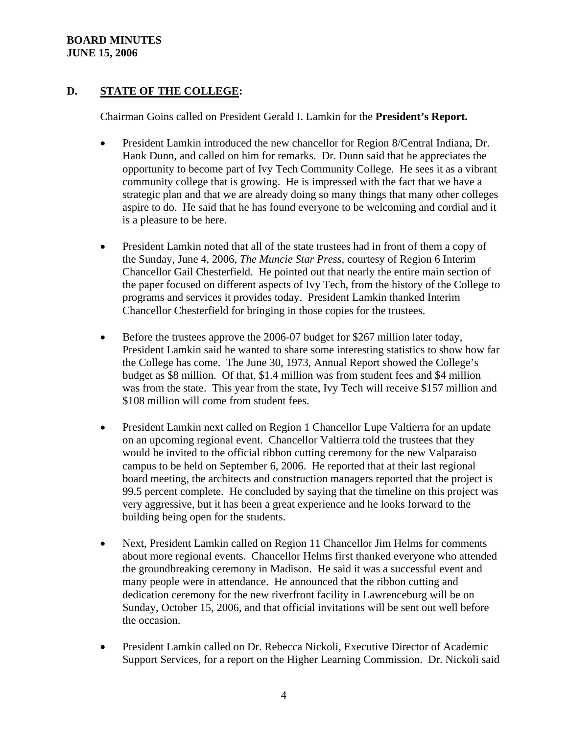### **BOARD MINUTES JUNE 15, 2006**

# **D. STATE OF THE COLLEGE:**

Chairman Goins called on President Gerald I. Lamkin for the **President's Report.**

- President Lamkin introduced the new chancellor for Region 8/Central Indiana, Dr. Hank Dunn, and called on him for remarks. Dr. Dunn said that he appreciates the opportunity to become part of Ivy Tech Community College. He sees it as a vibrant community college that is growing. He is impressed with the fact that we have a strategic plan and that we are already doing so many things that many other colleges aspire to do. He said that he has found everyone to be welcoming and cordial and it is a pleasure to be here.
- President Lamkin noted that all of the state trustees had in front of them a copy of the Sunday, June 4, 2006, *The Muncie Star Press*, courtesy of Region 6 Interim Chancellor Gail Chesterfield. He pointed out that nearly the entire main section of the paper focused on different aspects of Ivy Tech, from the history of the College to programs and services it provides today. President Lamkin thanked Interim Chancellor Chesterfield for bringing in those copies for the trustees.
- Before the trustees approve the 2006-07 budget for \$267 million later today, President Lamkin said he wanted to share some interesting statistics to show how far the College has come. The June 30, 1973, Annual Report showed the College's budget as \$8 million. Of that, \$1.4 million was from student fees and \$4 million was from the state. This year from the state, Ivy Tech will receive \$157 million and \$108 million will come from student fees.
- President Lamkin next called on Region 1 Chancellor Lupe Valtierra for an update on an upcoming regional event. Chancellor Valtierra told the trustees that they would be invited to the official ribbon cutting ceremony for the new Valparaiso campus to be held on September 6, 2006. He reported that at their last regional board meeting, the architects and construction managers reported that the project is 99.5 percent complete. He concluded by saying that the timeline on this project was very aggressive, but it has been a great experience and he looks forward to the building being open for the students.
- Next, President Lamkin called on Region 11 Chancellor Jim Helms for comments about more regional events. Chancellor Helms first thanked everyone who attended the groundbreaking ceremony in Madison. He said it was a successful event and many people were in attendance. He announced that the ribbon cutting and dedication ceremony for the new riverfront facility in Lawrenceburg will be on Sunday, October 15, 2006, and that official invitations will be sent out well before the occasion.
- President Lamkin called on Dr. Rebecca Nickoli, Executive Director of Academic Support Services, for a report on the Higher Learning Commission. Dr. Nickoli said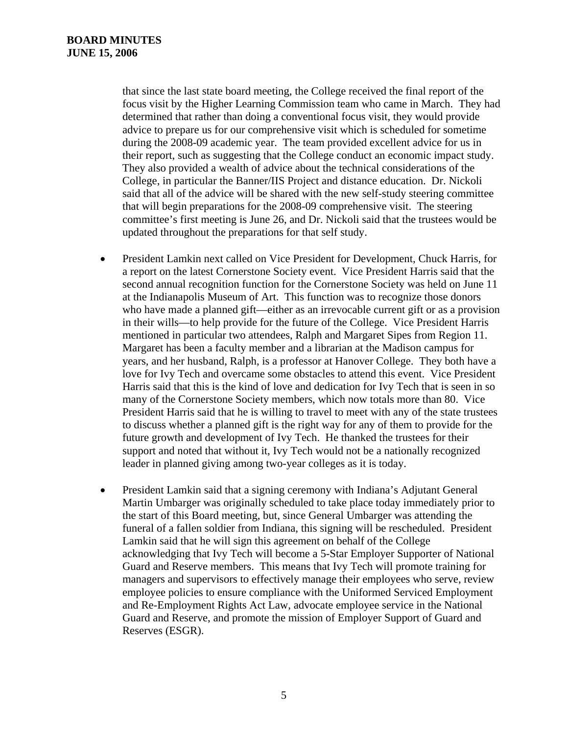that since the last state board meeting, the College received the final report of the focus visit by the Higher Learning Commission team who came in March. They had determined that rather than doing a conventional focus visit, they would provide advice to prepare us for our comprehensive visit which is scheduled for sometime during the 2008-09 academic year. The team provided excellent advice for us in their report, such as suggesting that the College conduct an economic impact study. They also provided a wealth of advice about the technical considerations of the College, in particular the Banner/IIS Project and distance education. Dr. Nickoli said that all of the advice will be shared with the new self-study steering committee that will begin preparations for the 2008-09 comprehensive visit. The steering committee's first meeting is June 26, and Dr. Nickoli said that the trustees would be updated throughout the preparations for that self study.

- President Lamkin next called on Vice President for Development, Chuck Harris, for a report on the latest Cornerstone Society event. Vice President Harris said that the second annual recognition function for the Cornerstone Society was held on June 11 at the Indianapolis Museum of Art. This function was to recognize those donors who have made a planned gift—either as an irrevocable current gift or as a provision in their wills—to help provide for the future of the College. Vice President Harris mentioned in particular two attendees, Ralph and Margaret Sipes from Region 11. Margaret has been a faculty member and a librarian at the Madison campus for years, and her husband, Ralph, is a professor at Hanover College. They both have a love for Ivy Tech and overcame some obstacles to attend this event. Vice President Harris said that this is the kind of love and dedication for Ivy Tech that is seen in so many of the Cornerstone Society members, which now totals more than 80. Vice President Harris said that he is willing to travel to meet with any of the state trustees to discuss whether a planned gift is the right way for any of them to provide for the future growth and development of Ivy Tech. He thanked the trustees for their support and noted that without it, Ivy Tech would not be a nationally recognized leader in planned giving among two-year colleges as it is today.
- President Lamkin said that a signing ceremony with Indiana's Adjutant General Martin Umbarger was originally scheduled to take place today immediately prior to the start of this Board meeting, but, since General Umbarger was attending the funeral of a fallen soldier from Indiana, this signing will be rescheduled. President Lamkin said that he will sign this agreement on behalf of the College acknowledging that Ivy Tech will become a 5-Star Employer Supporter of National Guard and Reserve members. This means that Ivy Tech will promote training for managers and supervisors to effectively manage their employees who serve, review employee policies to ensure compliance with the Uniformed Serviced Employment and Re-Employment Rights Act Law, advocate employee service in the National Guard and Reserve, and promote the mission of Employer Support of Guard and Reserves (ESGR).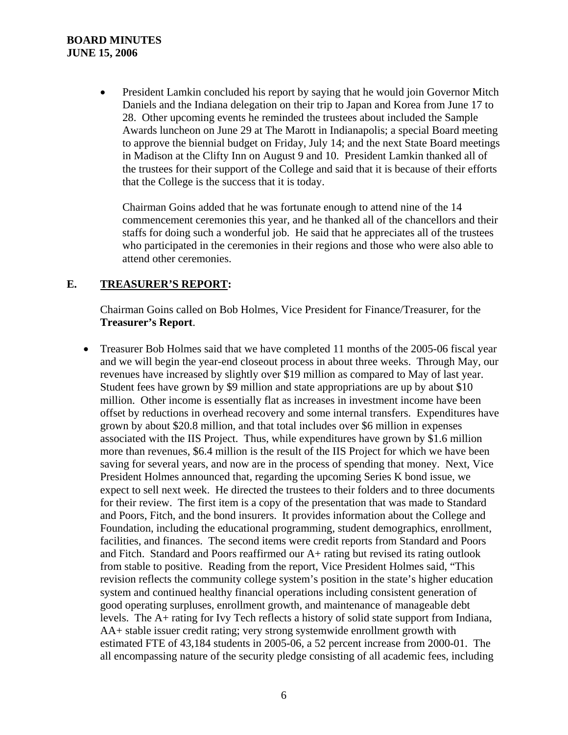### **BOARD MINUTES JUNE 15, 2006**

• President Lamkin concluded his report by saying that he would join Governor Mitch Daniels and the Indiana delegation on their trip to Japan and Korea from June 17 to 28. Other upcoming events he reminded the trustees about included the Sample Awards luncheon on June 29 at The Marott in Indianapolis; a special Board meeting to approve the biennial budget on Friday, July 14; and the next State Board meetings in Madison at the Clifty Inn on August 9 and 10. President Lamkin thanked all of the trustees for their support of the College and said that it is because of their efforts that the College is the success that it is today.

Chairman Goins added that he was fortunate enough to attend nine of the 14 commencement ceremonies this year, and he thanked all of the chancellors and their staffs for doing such a wonderful job. He said that he appreciates all of the trustees who participated in the ceremonies in their regions and those who were also able to attend other ceremonies.

### **E. TREASURER'S REPORT:**

Chairman Goins called on Bob Holmes, Vice President for Finance/Treasurer, for the **Treasurer's Report**.

• Treasurer Bob Holmes said that we have completed 11 months of the 2005-06 fiscal year and we will begin the year-end closeout process in about three weeks. Through May, our revenues have increased by slightly over \$19 million as compared to May of last year. Student fees have grown by \$9 million and state appropriations are up by about \$10 million. Other income is essentially flat as increases in investment income have been offset by reductions in overhead recovery and some internal transfers. Expenditures have grown by about \$20.8 million, and that total includes over \$6 million in expenses associated with the IIS Project. Thus, while expenditures have grown by \$1.6 million more than revenues, \$6.4 million is the result of the IIS Project for which we have been saving for several years, and now are in the process of spending that money. Next, Vice President Holmes announced that, regarding the upcoming Series K bond issue, we expect to sell next week. He directed the trustees to their folders and to three documents for their review. The first item is a copy of the presentation that was made to Standard and Poors, Fitch, and the bond insurers. It provides information about the College and Foundation, including the educational programming, student demographics, enrollment, facilities, and finances. The second items were credit reports from Standard and Poors and Fitch. Standard and Poors reaffirmed our A+ rating but revised its rating outlook from stable to positive. Reading from the report, Vice President Holmes said, "This revision reflects the community college system's position in the state's higher education system and continued healthy financial operations including consistent generation of good operating surpluses, enrollment growth, and maintenance of manageable debt levels. The A+ rating for Ivy Tech reflects a history of solid state support from Indiana, AA+ stable issuer credit rating; very strong systemwide enrollment growth with estimated FTE of 43,184 students in 2005-06, a 52 percent increase from 2000-01. The all encompassing nature of the security pledge consisting of all academic fees, including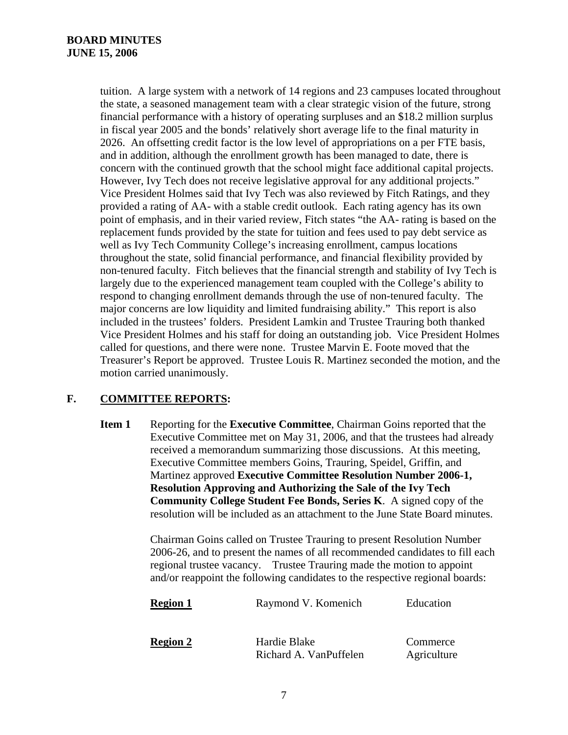tuition. A large system with a network of 14 regions and 23 campuses located throughout the state, a seasoned management team with a clear strategic vision of the future, strong financial performance with a history of operating surpluses and an \$18.2 million surplus in fiscal year 2005 and the bonds' relatively short average life to the final maturity in 2026. An offsetting credit factor is the low level of appropriations on a per FTE basis, and in addition, although the enrollment growth has been managed to date, there is concern with the continued growth that the school might face additional capital projects. However, Ivy Tech does not receive legislative approval for any additional projects." Vice President Holmes said that Ivy Tech was also reviewed by Fitch Ratings, and they provided a rating of AA- with a stable credit outlook. Each rating agency has its own point of emphasis, and in their varied review, Fitch states "the AA- rating is based on the replacement funds provided by the state for tuition and fees used to pay debt service as well as Ivy Tech Community College's increasing enrollment, campus locations throughout the state, solid financial performance, and financial flexibility provided by non-tenured faculty. Fitch believes that the financial strength and stability of Ivy Tech is largely due to the experienced management team coupled with the College's ability to respond to changing enrollment demands through the use of non-tenured faculty. The major concerns are low liquidity and limited fundraising ability." This report is also included in the trustees' folders. President Lamkin and Trustee Trauring both thanked Vice President Holmes and his staff for doing an outstanding job. Vice President Holmes called for questions, and there were none. Trustee Marvin E. Foote moved that the Treasurer's Report be approved. Trustee Louis R. Martinez seconded the motion, and the motion carried unanimously.

## **F. COMMITTEE REPORTS:**

**Item 1** Reporting for the **Executive Committee**, Chairman Goins reported that the Executive Committee met on May 31, 2006, and that the trustees had already received a memorandum summarizing those discussions. At this meeting, Executive Committee members Goins, Trauring, Speidel, Griffin, and Martinez approved **Executive Committee Resolution Number 2006-1, Resolution Approving and Authorizing the Sale of the Ivy Tech Community College Student Fee Bonds, Series K**. A signed copy of the resolution will be included as an attachment to the June State Board minutes.

> Chairman Goins called on Trustee Trauring to present Resolution Number 2006-26, and to present the names of all recommended candidates to fill each regional trustee vacancy. Trustee Trauring made the motion to appoint and/or reappoint the following candidates to the respective regional boards:

| <b>Region 1</b> | Raymond V. Komenich                    | Education               |
|-----------------|----------------------------------------|-------------------------|
| <b>Region 2</b> | Hardie Blake<br>Richard A. VanPuffelen | Commerce<br>Agriculture |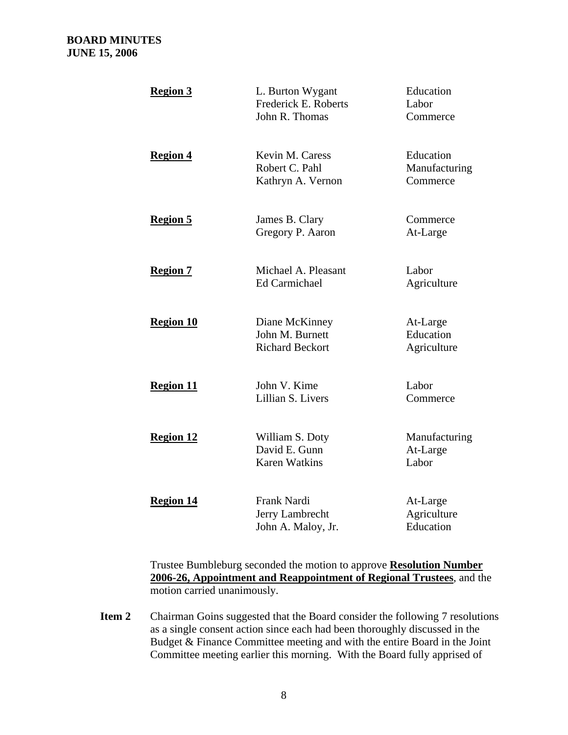| <b>Region 3</b>  | L. Burton Wygant<br>Frederick E. Roberts<br>John R. Thomas  | Education<br>Labor<br>Commerce         |
|------------------|-------------------------------------------------------------|----------------------------------------|
| <b>Region 4</b>  | Kevin M. Caress<br>Robert C. Pahl<br>Kathryn A. Vernon      | Education<br>Manufacturing<br>Commerce |
| <b>Region 5</b>  | James B. Clary<br>Gregory P. Aaron                          | Commerce<br>At-Large                   |
| <b>Region 7</b>  | Michael A. Pleasant<br><b>Ed Carmichael</b>                 | Labor<br>Agriculture                   |
| <b>Region 10</b> | Diane McKinney<br>John M. Burnett<br><b>Richard Beckort</b> | At-Large<br>Education<br>Agriculture   |
| <b>Region 11</b> | John V. Kime<br>Lillian S. Livers                           | Labor<br>Commerce                      |
| <b>Region 12</b> | William S. Doty<br>David E. Gunn<br><b>Karen Watkins</b>    | Manufacturing<br>At-Large<br>Labor     |
| <b>Region 14</b> | Frank Nardi<br>Jerry Lambrecht<br>John A. Maloy, Jr.        | At-Large<br>Agriculture<br>Education   |

Trustee Bumbleburg seconded the motion to approve **Resolution Number 2006-26, Appointment and Reappointment of Regional Trustees**, and the motion carried unanimously.

**Item 2** Chairman Goins suggested that the Board consider the following 7 resolutions as a single consent action since each had been thoroughly discussed in the Budget & Finance Committee meeting and with the entire Board in the Joint Committee meeting earlier this morning. With the Board fully apprised of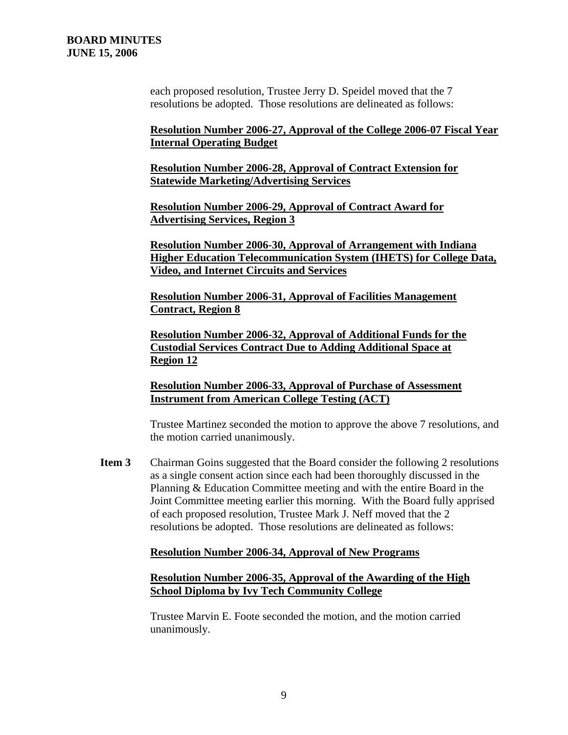each proposed resolution, Trustee Jerry D. Speidel moved that the 7 resolutions be adopted. Those resolutions are delineated as follows:

**Resolution Number 2006-27, Approval of the College 2006-07 Fiscal Year Internal Operating Budget**

**Resolution Number 2006-28, Approval of Contract Extension for Statewide Marketing/Advertising Services**

**Resolution Number 2006-29, Approval of Contract Award for Advertising Services, Region 3**

**Resolution Number 2006-30, Approval of Arrangement with Indiana Higher Education Telecommunication System (IHETS) for College Data, Video, and Internet Circuits and Services**

**Resolution Number 2006-31, Approval of Facilities Management Contract, Region 8**

**Resolution Number 2006-32, Approval of Additional Funds for the Custodial Services Contract Due to Adding Additional Space at Region 12**

**Resolution Number 2006-33, Approval of Purchase of Assessment Instrument from American College Testing (ACT)**

Trustee Martinez seconded the motion to approve the above 7 resolutions, and the motion carried unanimously.

**Item 3** Chairman Goins suggested that the Board consider the following 2 resolutions as a single consent action since each had been thoroughly discussed in the Planning & Education Committee meeting and with the entire Board in the Joint Committee meeting earlier this morning. With the Board fully apprised of each proposed resolution, Trustee Mark J. Neff moved that the 2 resolutions be adopted. Those resolutions are delineated as follows:

#### **Resolution Number 2006-34, Approval of New Programs**

### **Resolution Number 2006-35, Approval of the Awarding of the High School Diploma by Ivy Tech Community College**

Trustee Marvin E. Foote seconded the motion, and the motion carried unanimously.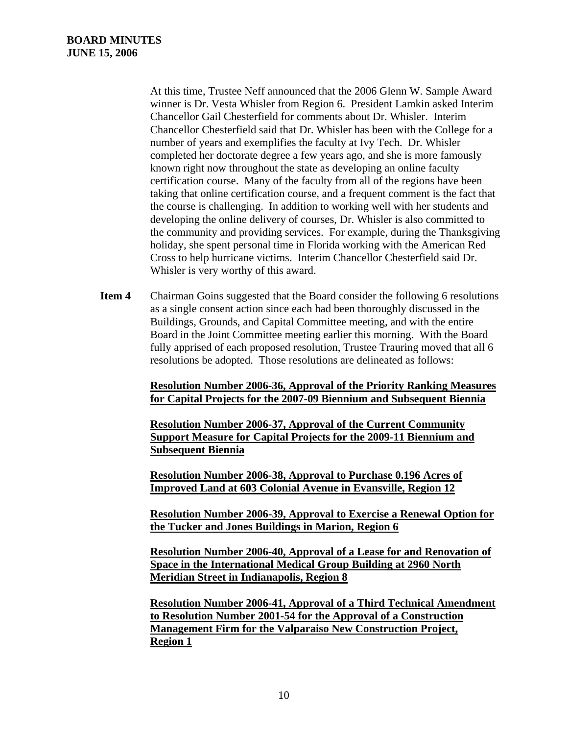At this time, Trustee Neff announced that the 2006 Glenn W. Sample Award winner is Dr. Vesta Whisler from Region 6. President Lamkin asked Interim Chancellor Gail Chesterfield for comments about Dr. Whisler. Interim Chancellor Chesterfield said that Dr. Whisler has been with the College for a number of years and exemplifies the faculty at Ivy Tech. Dr. Whisler completed her doctorate degree a few years ago, and she is more famously known right now throughout the state as developing an online faculty certification course. Many of the faculty from all of the regions have been taking that online certification course, and a frequent comment is the fact that the course is challenging. In addition to working well with her students and developing the online delivery of courses, Dr. Whisler is also committed to the community and providing services. For example, during the Thanksgiving holiday, she spent personal time in Florida working with the American Red Cross to help hurricane victims. Interim Chancellor Chesterfield said Dr. Whisler is very worthy of this award.

**Item 4** Chairman Goins suggested that the Board consider the following 6 resolutions as a single consent action since each had been thoroughly discussed in the Buildings, Grounds, and Capital Committee meeting, and with the entire Board in the Joint Committee meeting earlier this morning. With the Board fully apprised of each proposed resolution, Trustee Trauring moved that all 6 resolutions be adopted. Those resolutions are delineated as follows:

> **Resolution Number 2006-36, Approval of the Priority Ranking Measures for Capital Projects for the 2007-09 Biennium and Subsequent Biennia**

**Resolution Number 2006-37, Approval of the Current Community Support Measure for Capital Projects for the 2009-11 Biennium and Subsequent Biennia**

**Resolution Number 2006-38, Approval to Purchase 0.196 Acres of Improved Land at 603 Colonial Avenue in Evansville, Region 12**

**Resolution Number 2006-39, Approval to Exercise a Renewal Option for the Tucker and Jones Buildings in Marion, Region 6**

**Resolution Number 2006-40, Approval of a Lease for and Renovation of Space in the International Medical Group Building at 2960 North Meridian Street in Indianapolis, Region 8**

**Resolution Number 2006-41, Approval of a Third Technical Amendment to Resolution Number 2001-54 for the Approval of a Construction Management Firm for the Valparaiso New Construction Project, Region 1**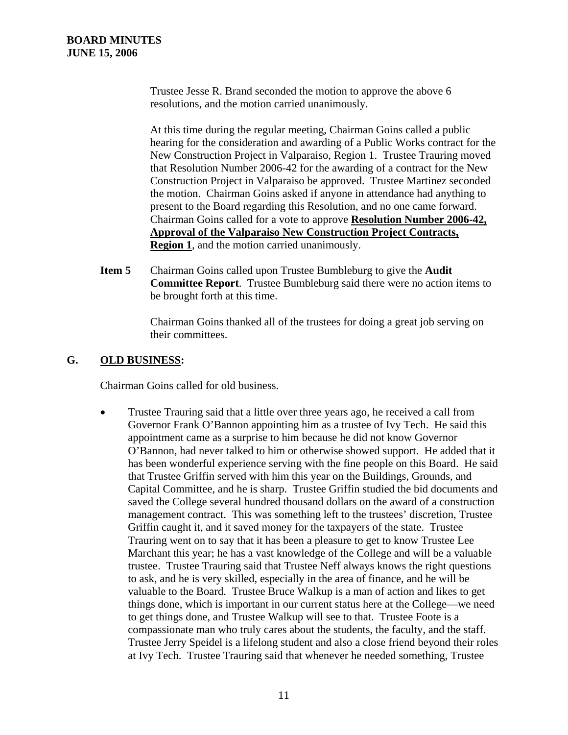Trustee Jesse R. Brand seconded the motion to approve the above 6 resolutions, and the motion carried unanimously.

At this time during the regular meeting, Chairman Goins called a public hearing for the consideration and awarding of a Public Works contract for the New Construction Project in Valparaiso, Region 1. Trustee Trauring moved that Resolution Number 2006-42 for the awarding of a contract for the New Construction Project in Valparaiso be approved. Trustee Martinez seconded the motion. Chairman Goins asked if anyone in attendance had anything to present to the Board regarding this Resolution, and no one came forward. Chairman Goins called for a vote to approve **Resolution Number 2006-42, Approval of the Valparaiso New Construction Project Contracts, Region 1**, and the motion carried unanimously.

**Item 5** Chairman Goins called upon Trustee Bumbleburg to give the **Audit Committee Report**. Trustee Bumbleburg said there were no action items to be brought forth at this time.

> Chairman Goins thanked all of the trustees for doing a great job serving on their committees.

### **G. OLD BUSINESS:**

Chairman Goins called for old business.

• Trustee Trauring said that a little over three years ago, he received a call from Governor Frank O'Bannon appointing him as a trustee of Ivy Tech. He said this appointment came as a surprise to him because he did not know Governor O'Bannon, had never talked to him or otherwise showed support. He added that it has been wonderful experience serving with the fine people on this Board. He said that Trustee Griffin served with him this year on the Buildings, Grounds, and Capital Committee, and he is sharp. Trustee Griffin studied the bid documents and saved the College several hundred thousand dollars on the award of a construction management contract. This was something left to the trustees' discretion, Trustee Griffin caught it, and it saved money for the taxpayers of the state. Trustee Trauring went on to say that it has been a pleasure to get to know Trustee Lee Marchant this year; he has a vast knowledge of the College and will be a valuable trustee. Trustee Trauring said that Trustee Neff always knows the right questions to ask, and he is very skilled, especially in the area of finance, and he will be valuable to the Board. Trustee Bruce Walkup is a man of action and likes to get things done, which is important in our current status here at the College—we need to get things done, and Trustee Walkup will see to that. Trustee Foote is a compassionate man who truly cares about the students, the faculty, and the staff. Trustee Jerry Speidel is a lifelong student and also a close friend beyond their roles at Ivy Tech. Trustee Trauring said that whenever he needed something, Trustee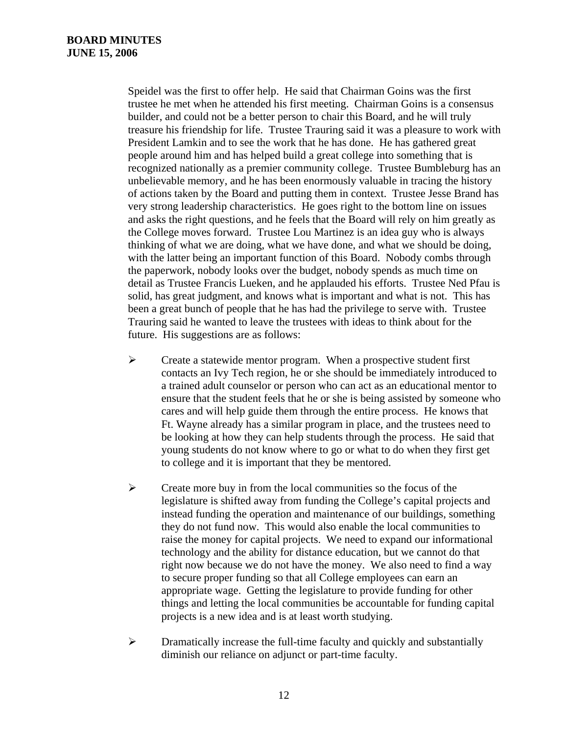Speidel was the first to offer help. He said that Chairman Goins was the first trustee he met when he attended his first meeting. Chairman Goins is a consensus builder, and could not be a better person to chair this Board, and he will truly treasure his friendship for life. Trustee Trauring said it was a pleasure to work with President Lamkin and to see the work that he has done. He has gathered great people around him and has helped build a great college into something that is recognized nationally as a premier community college. Trustee Bumbleburg has an unbelievable memory, and he has been enormously valuable in tracing the history of actions taken by the Board and putting them in context. Trustee Jesse Brand has very strong leadership characteristics. He goes right to the bottom line on issues and asks the right questions, and he feels that the Board will rely on him greatly as the College moves forward. Trustee Lou Martinez is an idea guy who is always thinking of what we are doing, what we have done, and what we should be doing, with the latter being an important function of this Board. Nobody combs through the paperwork, nobody looks over the budget, nobody spends as much time on detail as Trustee Francis Lueken, and he applauded his efforts. Trustee Ned Pfau is solid, has great judgment, and knows what is important and what is not. This has been a great bunch of people that he has had the privilege to serve with. Trustee Trauring said he wanted to leave the trustees with ideas to think about for the future. His suggestions are as follows:

- $\triangleright$  Create a statewide mentor program. When a prospective student first contacts an Ivy Tech region, he or she should be immediately introduced to a trained adult counselor or person who can act as an educational mentor to ensure that the student feels that he or she is being assisted by someone who cares and will help guide them through the entire process. He knows that Ft. Wayne already has a similar program in place, and the trustees need to be looking at how they can help students through the process. He said that young students do not know where to go or what to do when they first get to college and it is important that they be mentored.
- $\triangleright$  Create more buy in from the local communities so the focus of the legislature is shifted away from funding the College's capital projects and instead funding the operation and maintenance of our buildings, something they do not fund now. This would also enable the local communities to raise the money for capital projects. We need to expand our informational technology and the ability for distance education, but we cannot do that right now because we do not have the money. We also need to find a way to secure proper funding so that all College employees can earn an appropriate wage. Getting the legislature to provide funding for other things and letting the local communities be accountable for funding capital projects is a new idea and is at least worth studying.
- $\triangleright$  Dramatically increase the full-time faculty and quickly and substantially diminish our reliance on adjunct or part-time faculty.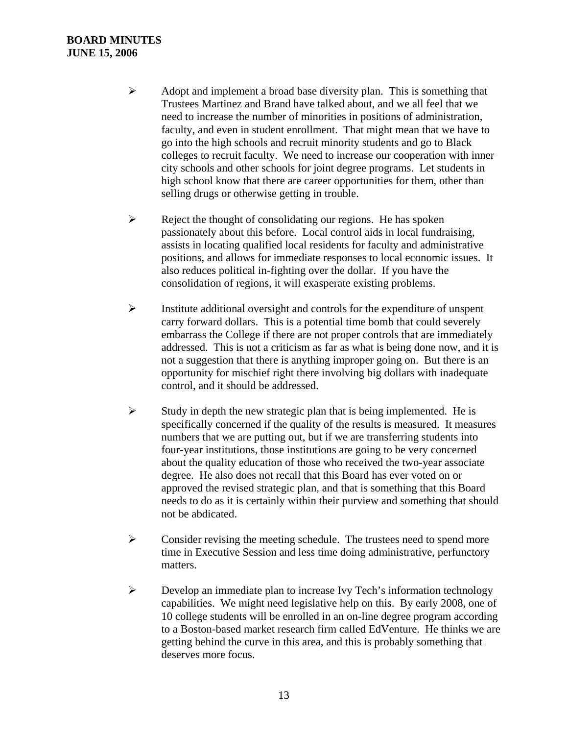### **BOARD MINUTES JUNE 15, 2006**

- $\triangleright$  Adopt and implement a broad base diversity plan. This is something that Trustees Martinez and Brand have talked about, and we all feel that we need to increase the number of minorities in positions of administration, faculty, and even in student enrollment. That might mean that we have to go into the high schools and recruit minority students and go to Black colleges to recruit faculty. We need to increase our cooperation with inner city schools and other schools for joint degree programs. Let students in high school know that there are career opportunities for them, other than selling drugs or otherwise getting in trouble.
- $\triangleright$  Reject the thought of consolidating our regions. He has spoken passionately about this before. Local control aids in local fundraising, assists in locating qualified local residents for faculty and administrative positions, and allows for immediate responses to local economic issues. It also reduces political in-fighting over the dollar. If you have the consolidation of regions, it will exasperate existing problems.
- ¾ Institute additional oversight and controls for the expenditure of unspent carry forward dollars. This is a potential time bomb that could severely embarrass the College if there are not proper controls that are immediately addressed. This is not a criticism as far as what is being done now, and it is not a suggestion that there is anything improper going on. But there is an opportunity for mischief right there involving big dollars with inadequate control, and it should be addressed.
- $\triangleright$  Study in depth the new strategic plan that is being implemented. He is specifically concerned if the quality of the results is measured. It measures numbers that we are putting out, but if we are transferring students into four-year institutions, those institutions are going to be very concerned about the quality education of those who received the two-year associate degree. He also does not recall that this Board has ever voted on or approved the revised strategic plan, and that is something that this Board needs to do as it is certainly within their purview and something that should not be abdicated.
- $\triangleright$  Consider revising the meeting schedule. The trustees need to spend more time in Executive Session and less time doing administrative, perfunctory matters.
- ¾ Develop an immediate plan to increase Ivy Tech's information technology capabilities. We might need legislative help on this. By early 2008, one of 10 college students will be enrolled in an on-line degree program according to a Boston-based market research firm called EdVenture. He thinks we are getting behind the curve in this area, and this is probably something that deserves more focus.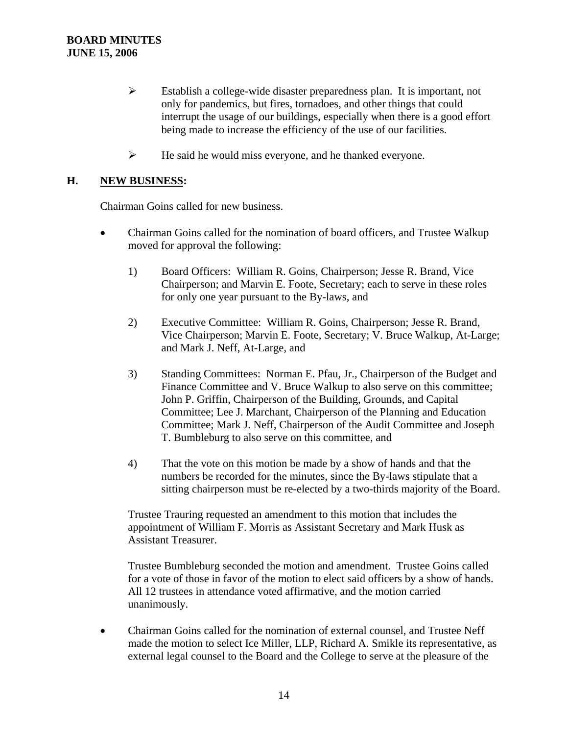- ¾ Establish a college-wide disaster preparedness plan. It is important, not only for pandemics, but fires, tornadoes, and other things that could interrupt the usage of our buildings, especially when there is a good effort being made to increase the efficiency of the use of our facilities.
- $\blacktriangleright$  He said he would miss everyone, and he thanked everyone.

### **H. NEW BUSINESS:**

Chairman Goins called for new business.

- Chairman Goins called for the nomination of board officers, and Trustee Walkup moved for approval the following:
	- 1) Board Officers: William R. Goins, Chairperson; Jesse R. Brand, Vice Chairperson; and Marvin E. Foote, Secretary; each to serve in these roles for only one year pursuant to the By-laws, and
	- 2) Executive Committee: William R. Goins, Chairperson; Jesse R. Brand, Vice Chairperson; Marvin E. Foote, Secretary; V. Bruce Walkup, At-Large; and Mark J. Neff, At-Large, and
	- 3) Standing Committees: Norman E. Pfau, Jr., Chairperson of the Budget and Finance Committee and V. Bruce Walkup to also serve on this committee; John P. Griffin, Chairperson of the Building, Grounds, and Capital Committee; Lee J. Marchant, Chairperson of the Planning and Education Committee; Mark J. Neff, Chairperson of the Audit Committee and Joseph T. Bumbleburg to also serve on this committee, and
	- 4) That the vote on this motion be made by a show of hands and that the numbers be recorded for the minutes, since the By-laws stipulate that a sitting chairperson must be re-elected by a two-thirds majority of the Board.

Trustee Trauring requested an amendment to this motion that includes the appointment of William F. Morris as Assistant Secretary and Mark Husk as Assistant Treasurer.

Trustee Bumbleburg seconded the motion and amendment. Trustee Goins called for a vote of those in favor of the motion to elect said officers by a show of hands. All 12 trustees in attendance voted affirmative, and the motion carried unanimously.

• Chairman Goins called for the nomination of external counsel, and Trustee Neff made the motion to select Ice Miller, LLP, Richard A. Smikle its representative, as external legal counsel to the Board and the College to serve at the pleasure of the